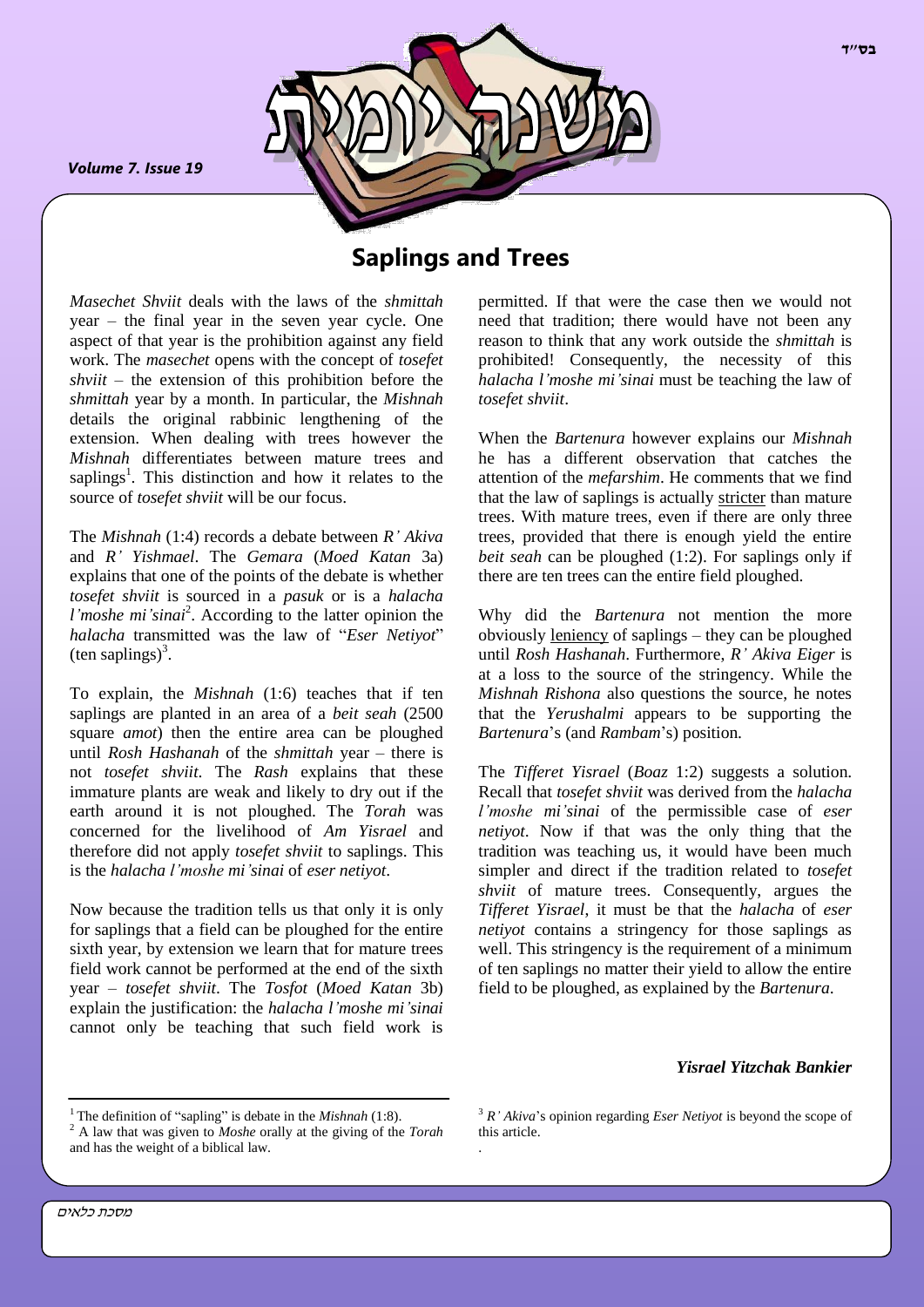*Volume 7. Issue 19*

*.*



# **Saplings and Trees**

*Masechet Shviit* deals with the laws of the *shmittah*  year – the final year in the seven year cycle. One aspect of that year is the prohibition against any field work. The *masechet* opens with the concept of *tosefet shviit* – the extension of this prohibition before the *shmittah* year by a month. In particular, the *Mishnah* details the original rabbinic lengthening of the extension. When dealing with trees however the *Mishnah* differentiates between mature trees and saplings<sup>1</sup>. This distinction and how it relates to the source of *tosefet shviit* will be our focus.

The *Mishnah* (1:4) records a debate between *R' Akiva* and *R' Yishmael*. The *Gemara* (*Moed Katan* 3a) explains that one of the points of the debate is whether *tosefet shviit* is sourced in a *pasuk* or is a *halacha*  l'moshe mi'sinai<sup>2</sup>. According to the latter opinion the *halacha* transmitted was the law of "*Eser Netiyot*"  $(\text{ten sapiings})^3$ .

To explain, the *Mishnah* (1:6) teaches that if ten saplings are planted in an area of a *beit seah* (2500 square *amot*) then the entire area can be ploughed until *Rosh Hashanah* of the *shmittah* year – there is not *tosefet shviit*. The *Rash* explains that these immature plants are weak and likely to dry out if the earth around it is not ploughed. The *Torah* was concerned for the livelihood of *Am Yisrael* and therefore did not apply *tosefet shviit* to saplings. This is the *halacha l'moshe mi'sinai* of *eser netiyot*.

Now because the tradition tells us that only it is only for saplings that a field can be ploughed for the entire sixth year, by extension we learn that for mature trees field work cannot be performed at the end of the sixth year – *tosefet shviit*. The *Tosfot* (*Moed Katan* 3b) explain the justification: the *halacha l'moshe mi'sinai* cannot only be teaching that such field work is

permitted. If that were the case then we would not need that tradition; there would have not been any reason to think that any work outside the *shmittah* is prohibited! Consequently, the necessity of this *halacha l'moshe mi'sinai* must be teaching the law of *tosefet shviit*.

When the *Bartenura* however explains our *Mishnah* he has a different observation that catches the attention of the *mefarshim*. He comments that we find that the law of saplings is actually stricter than mature trees. With mature trees, even if there are only three trees, provided that there is enough yield the entire *beit seah* can be ploughed (1:2). For saplings only if there are ten trees can the entire field ploughed.

Why did the *Bartenura* not mention the more obviously leniency of saplings – they can be ploughed until *Rosh Hashanah*. Furthermore, *R' Akiva Eiger* is at a loss to the source of the stringency. While the *Mishnah Rishona* also questions the source, he notes that the *Yerushalmi* appears to be supporting the *Bartenura*'s (and *Rambam*'s) position.

The *Tifferet Yisrael* (*Boaz* 1:2) suggests a solution. Recall that *tosefet shviit* was derived from the *halacha l'moshe mi'sinai* of the permissible case of *eser netiyot*. Now if that was the only thing that the tradition was teaching us, it would have been much simpler and direct if the tradition related to *tosefet shviit* of mature trees. Consequently, argues the *Tifferet Yisrael*, it must be that the *halacha* of *eser netiyot* contains a stringency for those saplings as well. This stringency is the requirement of a minimum of ten saplings no matter their yield to allow the entire field to be ploughed, as explained by the *Bartenura*.

### *Yisrael Yitzchak Bankier*

<sup>3</sup> *R' Akiva*'s opinion regarding *Eser Netiyot* is beyond the scope of this article. .

<sup>&</sup>lt;sup>1</sup>The definition of "sapling" is debate in the *Mishnah* (1:8).

<sup>2</sup> A law that was given to *Moshe* orally at the giving of the *Torah* and has the weight of a biblical law.